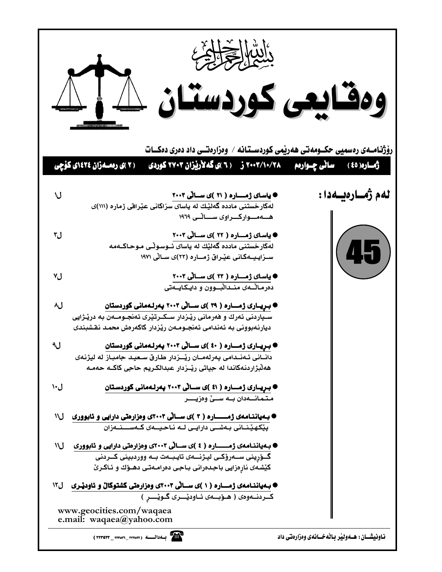|      | ومقايعى كوردستان للهلك<br>رۆژنـامــەی رەسمیی حکــومەتی ھەرپمی کوردســتـانـه / وەزارەتــی داد دەری دەكـــات<br>( ۲ )ی رەمـەزان ۱٤۲٤)ی کۆچی                                                                        | رُّمُــاره( ٤٥ )                                   |
|------|------------------------------------------------------------------------------------------------------------------------------------------------------------------------------------------------------------------|----------------------------------------------------|
| ل\   | ● یاسای ژمــــاره ( ۲۱ )ی ســانی ۲۰۰۳<br>لهکارخستنی مادده گهلیّـك له یاسای سزاکانی عیّـرافی ژماره (۱۱۱)ی<br>هـــهــــواركـــراوى ســـــانــى ١٩٦٩                                                                | لەم ژەسارەيسەدا :                                  |
| ل۳   | ● یاسای ژمـــاره ( ۲۲ )ی ســالّی ۲۰۰۳<br>لهکارخستنی مادده گەلێك له يا <i>سای تـُـوسـو</i> ٽی مـوحـاکــهمه<br>ســزایــیـــهکـانـی عیْــراق ژمــــاره (۲۳)ی ســالی ۱۹۷۱                                            | 45                                                 |
| ٧J   | ● یاسای ژمـــاره ( ۲۳ )ی ســانی ۲۰۰۳<br>دەرماٽـــەی منــداٽبـــوون و دايــكـايـــەتى                                                                                                                             |                                                    |
| ل۸   | ● بـړیــاری ژمـــاره ( ۳۹ )ی ســالّی ۲۰۰۳ پهرلـهمانی کوردستان<br>سـپاردنی ئەرك و فەرمانی رێـزدار سـكـرتێری ئەنجـومــەن بـه درێـژايی<br>دیارنهبوونی به ئەندامی ئەنجـومـەن رێزدار كاكەرەش محمـد نقـشبندی           |                                                    |
| ل۹   | ● بـرِیــاری ژمـــاره ( ٤٠ )ی ســاڵی ۲۰۰۳ بهرلـهمانی کوردستان<br>دانــانى ئــەنــدامى يـەرلەمــان رێـــزدار طـارق ســعيـد جامبـاز له ليژنـهى<br>هەلْبژاردنەكاندا لە جياتى رێــزدار عبدالكـريم حاجى كاكــه حەمــە |                                                    |
| ل۱۰  | ● بـریــاری ژمـــاره ( ٤١ )ی ســـاٽی ۲۰۰۳ پهرلـهمانی گوردسـتان<br>متمانسەدان بسه سىي وەزيىر                                                                                                                      |                                                    |
| ١١J  | ● بـهیاننـامهی ژمــــــاره ( ۳ )ی ســالّی ۲۰۰۳ی وهزارهتی دارایی و ئابووری<br>پێِکھێِنانی بەشــی دارایـی لــه نـاحـیـــەی کــەســـنــەزان                                                                         |                                                    |
| ١١J  | ● بـهیاننـامهی ژمــــــاره ( ٤ )ی ســالّی ۲۰۰۳ی وهزارهتی دارایی و ئابووری<br>گــۆرينى ســەرۆكــى ليـژنـــەى تايـبــەت بــە ووردبينى كــردنى<br>کیْشەی نارەزایی باجدەرانی بـاجی دەرامـەتـی دهــۆك و ئـاگـرێ       |                                                    |
| ال\۲ | ● بـهیاننـامهی ژمـــاره ( ۱ )ی ســاٽي ۲۰۰۳ی وهزارهتي کشتوکال و ئاودێـری<br>كردنـهوهى ( هـوْبـهى ئـاوديْــرى گـويْــر )<br>www.geocities.com/waqaea                                                               |                                                    |
|      | e.mail: waqaea@yahoo.com                                                                                                                                                                                         | نـاونيشــان : هــهوليْر بـالْهخــانهى وهزارهتى داد |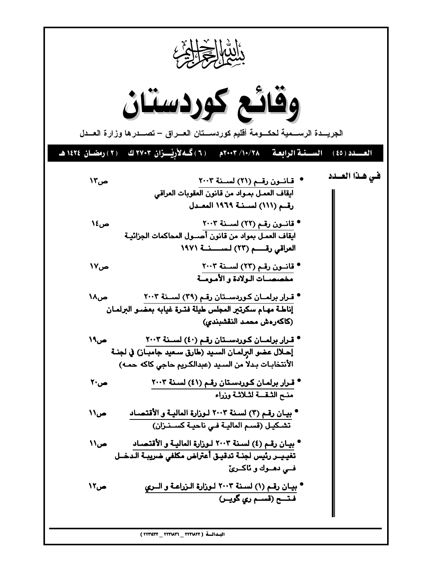$$
\frac{1}{2} \int_{C} \frac{1}{2} \int_{C} \frac{1}{2} \int_{C} \frac{1}{2} \int_{C} \frac{1}{2} \int_{C} \frac{1}{2} \int_{C} \frac{1}{2} \int_{C} \frac{1}{2} \int_{C} \frac{1}{2} \int_{C} \frac{1}{2} \int_{C} \frac{1}{2} \int_{C} \frac{1}{2} \int_{C} \frac{1}{2} \int_{C} \frac{1}{2} \int_{C} \frac{1}{2} \int_{C} \frac{1}{2} \int_{C} \frac{1}{2} \int_{C} \frac{1}{2} \int_{C} \frac{1}{2} \int_{C} \frac{1}{2} \int_{C} \frac{1}{2} \int_{C} \frac{1}{2} \int_{C} \frac{1}{2} \int_{C} \frac{1}{2} \int_{C} \frac{1}{2} \int_{C} \frac{1}{2} \int_{C} \frac{1}{2} \int_{C} \frac{1}{2} \int_{C} \frac{1}{2} \int_{C} \frac{1}{2} \int_{C} \frac{1}{2} \int_{C} \frac{1}{2} \int_{C} \frac{1}{2} \int_{C} \frac{1}{2} \int_{C} \frac{1}{2} \int_{C} \frac{1}{2} \int_{C} \frac{1}{2} \int_{C} \frac{1}{2} \int_{C} \frac{1}{2} \int_{C} \frac{1}{2} \int_{C} \frac{1}{2} \int_{C} \frac{1}{2} \int_{C} \frac{1}{2} \int_{C} \frac{1}{2} \int_{C} \frac{1}{2} \int_{C} \frac{1}{2} \int_{C} \frac{1}{2} \int_{C} \frac{1}{2} \int_{C} \frac{1}{2} \int_{C} \frac{1}{2} \int_{C} \frac{1}{2} \int_{C} \frac{1}{2} \int_{C} \frac{1}{2} \int_{C} \frac{1}{2} \int_{C} \frac{1}{2} \int_{C} \frac{1}{2} \int_{C} \frac{1}{2} \int_{C} \frac{1}{2} \int_{C} \frac{1}{2} \int_{C} \frac{1}{2} \int_{C} \frac{1}{2} \int_{C} \frac{1}{2} \int_{C} \frac{1}{2} \int_{C} \frac
$$

I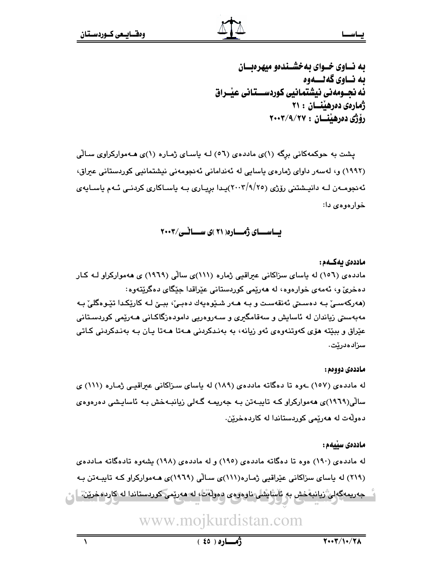#### يــاسـ

به نساوی خسوای به خشسندهو میهرهبسان به نساوي گەنسىموە ئه نجــومهنی نیشتمـانیی کوردســـتـانی عیـْــراق ژمارهي دهرهينسان : ۲۱ رۆژى دەرھىتان : ٢٠٠٣/٩/٢٧

پشت به حوکمهکانی برِگه (۱)ی ماددهی (٥٦) لـه یاسـای ژمـاره (۱)ی هـهموارکراوی سـالّی (١٩٩٢) و، لەسەر داواى ژمارەى ياسايى لە ئەندامانى ئەنجومەنى نيشتمانيى كوردستانى عيراق، ئەنجومــەن لــه دانپــشتنى رۆژى (٢٠٠٣/٩/٢٥)پـدا بريـارى بــه ياســاكارى كردنــى ئــهم ياســايەي خوارەوەي دا:

# بساسسای ژمساره (۲۱)ی سسانسی/۲۰۰۳

#### ماددەى يەكــەم :

مادده ی (١٥٦) له باسای سزاکانی عبراقبی ژماره (١١١)ی سالی (١٩٦٩) ی ههموارکراو لـه کـار دهخريّ و، ئەمەي خوارەوە، لە ھەرپمى كوردستانى عێراقدا جێگاي دەگرێتەوە: (هەركەسىێ بـه دەسـتى ئەنقەسـت و بـه هـەر شـێوەپەك دەبـێ، ببـێ لـه كارێكـدا تێـوەگلێ بـه مەبەسىتى زياندان لە ئاسايش و سەقامگىرى و سـەروەرىي دامودەزگاكـانى ھـەرێمى كوردسـتانى عێراق و ببێته هۆی کەوتنەوەی ئەو زيانە، بە بەنىدکردنى ھــەتا ھــەتا يـان بــه بەنىدکردنى کـاتى سزادەدرێت.

#### ماددەي دووەم :

له ماددهی (۱۰۷) ـهوه تا دهگاته ماددهی (۱۸۹) له پاسای سـزاکانی عبراقیـی ژمـاره (۱۱۱) ی سالْی(۱۹۲۹)ی ههموارکراو کـه تایبـهتن بـه جهریمـه گـهلی زیانبـهخش بـه ئاسایـشی دهرهوهی دەولەت لە ھەرپمى كورىستاندا لە كاردەخرين.

#### ماددەى سىلمم :

له ماددهی (۱۹۰) موه تا دهگاته ماددهی (۱۹۰) و له ماددهی (۱۹۸) بشهوه تادهگاته مـاددهی (٢١٩) له پاسای سزاکانی عیّراقیی ژماره(١١١)ی سالّی (١٩٦٩)ی هـهموارکراو کـه تایبـهتن بـه جەرىمەگەلى ْريانبەخش بە ئاىتايشلى نازەرەي دەرلەت، لە مەرىمى كوردستاندا لە كاردەخرىن. |

www.mojkurdistan.com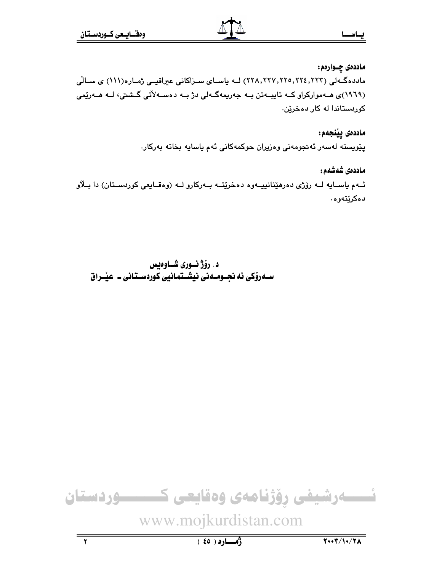ماددهۍ چــواردم : ماددهگـهلی (۲۲۴٫۲۲۴٫۲۲۳٫۲۲۳٫۲۲۳) لــه باسـای سـزاکانی عیراقیــی ژمـاره(۱۱۱) ی ســالّی (۱۹٦۹)ی هــهموارکراو کــه تايبــهتن بــه جهريمهگــهلي دژ بــه دهســهلأتي گــشتي، لــه هــهريمي کوردستاندا له کار دهخرین.

> ماددەى ييْنجەم: يێويسته لەسەر ئەنجومەنى وەزيران حوكمەكانى ئەم ياسايە بخاتە بەركار.

ماددەى شەشەم : ئـهم ياسـايه لـه رۆژى دەرهێنانييـهوه دەخرێتــه بـهركارو لــه (وەقـايعى كوردسـتان) دا بـلاو دەكرێتەوە.

د. رۆژنسورى شــاوەىس ســهروْکی ئه نجــومــهنی نیشــتمـانیی کوردســتـانی ــ عیـْــراق

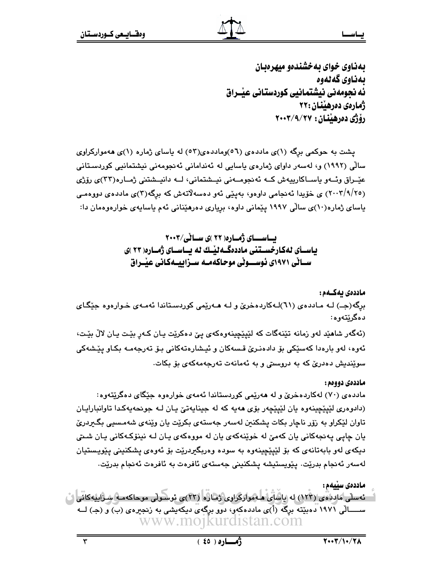بهناوي خواي به خشندهو ميهرهبان ىمناوى گەنەوە ئه نجومەنى نيشتمانيي كوردستاني عيْــراق ژمارەي دەرھىنان :٢٢ رۆژى دەرھىنان : ٢٧/٩/٢٧

پشت به حوکمی برگه (۱)ی ماددهی (٥٦)وماددهی(٥٢) له پاسای ژماره (۱)ی ههموارکراوی سالْی (۱۹۹۲) و، لەسەر داوای ژمارەی پاسایی لە ئەندامانی ئەنجومەنی نیشتمانیی کوردسـتانی عٽيراق وئيو پاسياکاريپوش کيه ئەنجوميەنى نيىشتمانى، ليە دانپىشتنى ژميارە(٣٣)ى رۆژى (۲۰۰۲/۹/۲۰) ی خوّیدا ئەنجامی داوەو، بەينی ئەو دەسەلاتەش کە برگە(۲)ی ماددەی دووەمـی باسای ژماره(۱۰)ی سالی ۱۹۹۷ پیمانی داوه، بریاری دهرهینانی ئهم یاسایهی خوارهوهمان دا:

> ىساسىساي ژەسارە( ٢٢ )ى سىيانى/٢٠٠٣ یاسـأی لهکارخسـتنی ماددهگـهلیّـك له بــاسـای ژمـاره( ۲۳ )ی ســانی ۱۹۷۱ی ئوســـوٽی موحاکهمــه ســزاييــهکـانی عيْــراق

> > ماددەى يەكــەم :

برگه(جــ) لـه مـاددهى (٦١)لـهكاردهخرىّ و لـه هـهريّمى كوردسـتاندا ئهمـهى خـوارهوه جيّگـاى دەگرێتەوە:

(ئهگەر شاھێد لەو زمانە تێنەگات كە لێپێچينەوەكەي يێ دەكرێت يـان كـەر بێت يـان لاڵ بێت، ئەوە، لەو بارەدا كەسێكى بۆ دادەنىرێ قىسەكان و ئيـشارەتەكانى بىۆ تەرجەمـە بكـاو پێـشەكى سوێندیش دەدرێ کە بە دروستی و بە ئەمانەت تەرجەمەکەی بۆ بکات.

#### ماددەي دووەم :

مادده ی (۷۰) لهکاردهخریّ و له ههریمی کوردستاندا ئهمهی خوارهوه جنگای دهگریتهوه: (دادوهري لێپێڇينهوه يان لێپێڇهر بۆي ههيه که له جينايهتيّ يـان لـه جونحهپهکدا تاوانبارايـان تاوان لێکراو به رزر ناچار بکات پشکنین لهسهر جهستهی بکرێت پان وێنهی شهمسیی بگیردریٚ يان ڇاپي پهنجهکاني يان کهميّ له خوٽنهکهي يان له موږهکهي پـان لـه نينۆکـهکاني پـان شـتي دیکهی لهو بابهتانهی که بۆ لێیێچینهوه به سوده وهربگیردرێت بۆ ئەوەی یشکنینی یێویستیان لەسەر ئەنجام بدرێت. پێویستیشە پشكنینی جەستەی ئافرەت بە ئافرەت ئەنجام بدرێت.

ماددەى سىيەم : " - ئەسلى ماددەي (١٢٣) لە ياساي ھـەمواركراوي ژمارە (٢٣)ى ئوسىولى موحاكەمـە سـراييەكانى " ســـــالی ١٩٧١ دهبێته برِگه (أ)ى ماددهكهو، دوو برگهى ديكهيشى به زنجيرهى (ب) و (ج) لـــه www.mojkurdistan.com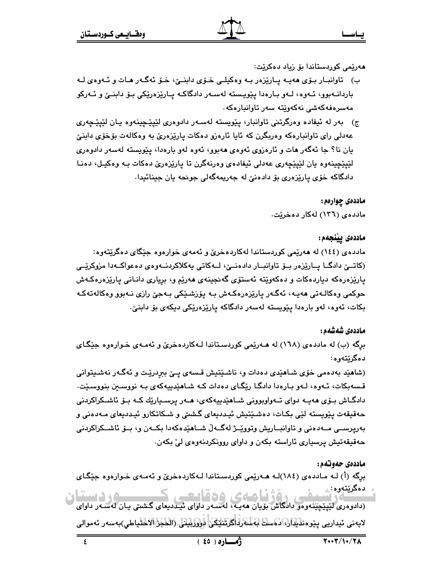ھەرپمى كوردستاندا بۆ زياد دەكريت:

- ب) تاوانبار بۆى ھەيــه پــارێزەر بــه وەكيلــى خـۆى دابنــێ، خـۆ ئەگــەر ھــات و ئــهوەى لــه باردانــهبوو، ئــهوه، لــهو بــارهدا پێویــسته لهســهر دادگاکــه پــارێزهرێکی بـۆ دابنــێ و ئــهرکو مەسر ەفەكەشى نەكەوتتە سەر تاوانىار ەكە.
- ج) بەر لە ئيفادە وەرگرتنى تاوانبار، يێويستە لەسـەر دادوەرى لێيێڃينەوە يـان لێيێڃەرى عەدلی رای تاوانبارەکە وەربگرن کە ئايا ئارەزو دەکات پارێزەرێ بە وەکالەت بۆخۆی دابنێ يان نا؟ جا ئەگەر ھات و ئارەزوى ئەوەي ھەبوو، ئەوە لەو بارەدا، يێويستە لەسەر دادوەرى لێێێڃينهوه يان لێيێڃەرى عەدلى ئيفادەي وەرنەگرن تا پارێزەرێ دەكات بـه وەكيـل، دەنـا دادگاکه خۆی پارێزەری بۆ دادەنیٚ له جەریمەگەلی جونحه یان جینائیدا.

ماددهۍ چوارهم:

ماددهی (۱۳٦) لهکار دهخریت.

### ماددەى يينجەم:

مادده ی (١٤٤) له ههریمی کوردستاندا لهکاردهخری و ئهمهی خوارهوه جنگای دهگریتهوه: (کاتــێ دادگــا پــارێزەر بــۆ تاوانبــار دادەنــێ، لــەکاتى بەکلاکردنــەوەي دەعواكــەدا مزوکرێــی پارێزەرەكە دىياردەكات و دەكەوێتە ئەستۆى گەنجىنەي ھەرێم و، بريارى دانـانى يارێزەرەكـەش حوکمی وهکالـﻪتی هەپـﻪ، ﺋﻪگـﻪر ﭘﺎرێزەرەكـﻪش ﺑـﻪ ﭘﯚزشـﯚكى ﺑـﻪﺟێ رازى ﻧـﻪﺑﻮﻭ ﻭﻩﻛﺎﻟﻪﺗﻪﻛـﻪ بکات، ئەوە، لەو بارەدا يێويستە لەسەر دادگاکە پارێزەرێکى دیکەی بۆ دابنێ٠

### ماددەى شەشەم :

برِگه (ب) له ماددهی (١٦٨) له هــهریمی کوردسـتاندا لــهکاردهخری و ئـهمــهی خــوارهوه جیْگـای دهگرٽتهوه:

(شاهێد بهدهمی خۆی شـاهێدی دهدات و، ناشـێتیش قـسهی پـێ ببرِدرێت و ئهگـهر نهشـیتوانی قسهېکات، ئـهوه، لـهو بـارهدا دادگـا رێگـای دهدات کـه شـاهێدييهکهی بـه نووسـبن بنووسـێت. دادگـاش بــۆی هەپــه دوای تــەواوبوونى شــاهێدىيەكەی، ھــەر پرســيارێك كــە بــۆ ئاشــكراكردنى حەقپقەت پێويستە لێی بکات، دەشێتپش ئیددىعای گشتی و شـکاتکارو ئیـددىعای مـەدەنی و بەرپرســي مــەدەنى و تاوانبــاريش وتوويّــژ لەگــەلّ شــاھێدەكەدا بكــەن و، بــۆ ئاشــكراكردنى حەقيقەتيش پرسيارى ئاراستە بكەن و داواي روونكردنەوەي لى بكەن.

### ماددەي حەوتەم:

برگه (أ) لـه مـاددهى (١٨٤)لـه هــهريمى كوردسـتاندا لــهكاردهخرى و ئـهمــهى خـوارهوه جيّـگـاى دەگرێتەوە: ؞ کو دستان

د دریدود.<br>سال در شست همی روژ کا همان روح قایست .<br>دااووری لیپیچینهووو دادگاش بویان ههیه، له سهر دارای نیددیعای گشتی بیان له سهر داوای لايەنى ئېدارىي يېرەنلېلىك ئىسان ئەسلارلىكرىلىكى ئوروپېتى، (الكېز الاڭتياطى)بەسەر ئەموالى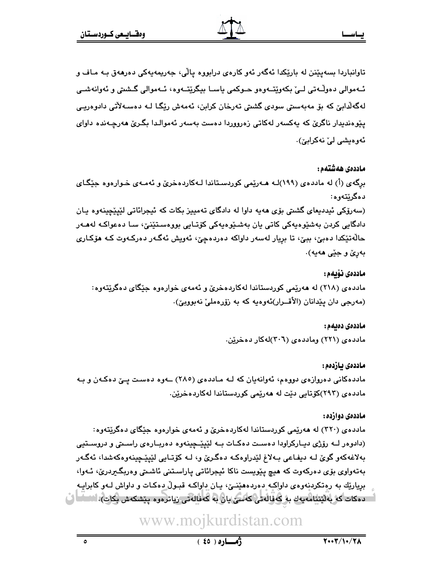تاوانباردا بسەيێنن لە بارێکدا ئەگەر ئەو کارەي درابووە ياڵى، جەريمەيەکى دەرھەق بـە مـاف و ئــهموالي دەوڵـەتى لــيٰ بكەوێتــەوەو ھــوكمى ياســا بيگرێتــەوە، ئــەموالى گــشتى و ئەوانەشــى لەگەلدايىؒ كە بۆ مەبەسىتى سودى گشتى تەرخان كرابن، ئەمەش رێگـا لـە دەسـەلأتى دادوەريـى يێوەنديدار ناگرێ که پەکسەر لەکاتى زەرووردا دەست بەسەر ئەموالـدا بگـرێ ھەرچـەندە داواي ئەوەيشى لى' نەكرابى ).

ماددەى ھەشتەم:

برگەي (أ) له ماددەي (١٩٩)لـه هــەرێمى كوردسـتاندا لــەكاردەخرێ و ئەمــەي خــوارەوە جێگـاي دهگرٽتهوه:

(سەرۆكى ئېددېغاي گشتى بۆي ھەيە داوا لە دادگاي تەمپيز بكات كە ئېجرائاتى لێپێچينەوە يـان دادگايي کردن بەشێوەپەکى کاتى يان بەشىێوەپەکى کۆتـايى بووەسـتێنێ، سـا دەعواکـە لەھـەر حالَّهتيکدا دهبيّ، ببيّ، تا بريار لهسهر داواکه دهردهچيّ، ئهويش ئهگـهر دهرکـهوت کـه هۆکـاری بەرێ و جێی ھەيە).

ماددەى نۆىمە: مادده ی (۲۱۸) له ههریمی کوردستاندا لهکاردهخری و ئهمهی خوارهوه جنگای دهگریتهوه: (مەرجى دان يێدانان (الأقــرار)ئەوەيە كە بە زۆرەملىٰ نەبوويىٰ).

> ماددەى دەبەم : مادده ی (۲۲۱) ومادده ی (۳۰٦)له کار ده خرین.

ماددەى بازدەم : ماددهکانی دهروازهی دووهم، ئەوانەیان کە لــه مـاددەی (٢٨٥) ـــەوه دەسـت پــێ دەکـەن و بــه ماددەی (۲۹۳)كۆتايى دێت لە ھەرێمى كوردستاندا لەكاردەخرێن.

#### ماددەي دوازدە:

مادده ی (۳۲۰) له ههریمی کوردستاندا لهکاردهخری و ئهمهی خوارهوه جنگای دهگریتهوه: (دادوهر لـه رۆژی دیـارکراودا دهسـت دهکـات بـه لێیێـحینهوه دهربـارهی راسـتی و دروسـتیی بهلاغهکهو گوێ لـه دیفـاعی بـهلاغ لێدراوهکـه دهگـرێ و، لـه کۆتـایی لێیێـچینهوهکهشدا، ئهگـهر بەتەواوي بۆي دەركەوت كە ھيچ يێويست ناكا ئيجرائاتى ياراستنى ئاشىتى وەربگىردرێ، ئـەوا، برياريّك به رهتكردنهوهي داواكـه دهردههێنـێ، پـان داواكـه قبـولٌ دهكـات و داواش لـهو كابرايـه " - دەكات كەربەلىننامەيەك بەركەفالەتى كەسى يان بە كەفالەتى زياترەوە پىشكەش بكات). \`` \_ ل

www.mojkurdistan.com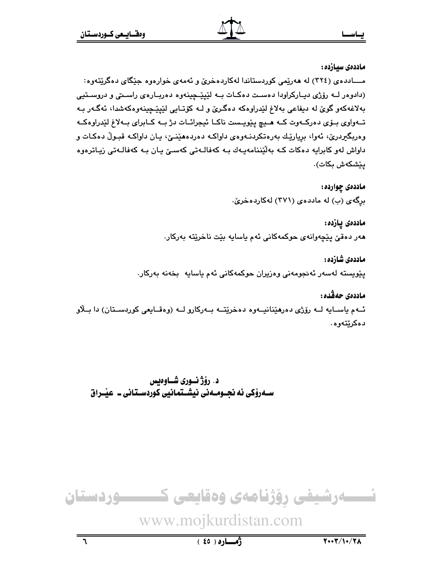ماددەى سىازدە:

مــــادده ی (٣٢٤) له ههريمي کوردستاندا لهکاردهخري و ئهمهي خوارهوه جێگاي دهگريتهوه: (دادوهر لـه رۆژی دیـارکراودا دهسـت دهکـات بـه لێیێـحینهوه دهربـارهی راسـتی و دروسـتیی بهلاغهکهو گوێ له دیفاعی بهلاغ لێدراوهکه دهگرێ و لـه کۆتـایی لێیێـچینهوهکهشدا، ئهگـهر بـه تــهواوي بــۆي دەركــهوت كــه هــيـچ يـێويــست ناكــا ئيجرائــات دژ بــه كــابراي بــهلاغ لێدراوهكــه وهربگیردریْ، ئەوا، بریارێك بەرەتكردنــەوەی داواكــه دەردەھێنــیْ، پـان داواكـه قبـولْ دەكـات و داواش لەو كابرايە دەكات كـه بەلێننامەيـەك بـه كەڧالـەتى كەسـێ يـان بـه كەڧالـەتى زيـاترەوە يێشكەش بكات).

> ماددەى چواردە : برگەی (ب) لە ماددەی (۳۷۱) لەكاردەخرىّ.

ماددەى يازدە: هەر دەقىٌ پێچەوانەي حوكمەكانى ئەم ياسايە بێت ناخرێتە بەركار.

ماددەى شازدە : پێویسته لهسهر ئهنجومهنی وهزیران حوکمهکانی ئهم یاسایه بخهنه بهرکار.

ماددەي حەقدە : ئــهم ياســايه لــه رۆژى دەرھێنانيــهوه دەخرێتــه بــهركارو لــه (وەقــايعى كوردســتان) دا بــلاو دەكرێتەوھ.

د. رؤژ نسوري شـاوهيس ســهروکی ئه نجــومــهنی نیشــتمـانیی کوردســتـانی ــ عیـْــراق

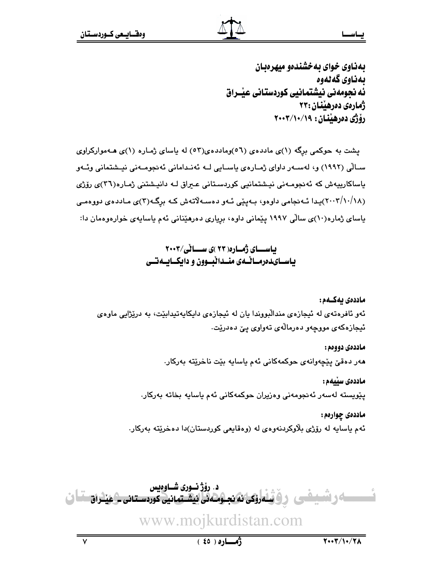ماددەي دووەم :

بهناوي خواي به خشندهو ميهرهبان ىمناوى گەنەوە ئه نحومەنى نيشتمانيي كوردستاني عيْـراق ژمارەي دەرھىنان :٢٣ رۆژى دەرھىندان : ١٩/١٠/١٠٧

پشت به حوکمی برِگه (۱)ی ماددهی (۵٦)وماددهی(٥٣) له باسای ژمـاره (۱)ی هــهموارکراوی سـالّی (۱۹۹۲) و، لەسـەر داوای ژمـارەی پاسـايی لــه ئەنـدامانی ئەنجومــەنی نیـشتمانی وئــەو باساكارییەش كە ئەنجومەنى نیشتمانیى كوردسىتانى عىراق لـە دانیشتنى ژمـارە(٣٦)ى رۆژى (۲۰۰۲/۱۰/۱۸)پیدا ئـهنجامی داوهو، بـهیێی ئـهو دهسـهلاتهش کـه برگـه(۳)ی مـاددهی دووهمـی پاسای ژماره(۱۰)ی سالّی ۱۹۹۷ پیّمانی داوه، بریاری دهرهیّنانی ئهم پاسایهی خوارهوهمان دا:

> باسای ژماره (۲۳)ی سالی/۲۰۰۳ یاســایـدەرمــاٽــەی منــداٽبــوون و دایکــایــەتــی

ماددەى ئەكــەم : ئەو ئافرەتەي لە ئېجازەي مندالْبووندا يان لە ئېجازەي داپكاپەتپدابێت، بە درێژاپى ماوەي ئيجازەكەي مووچەو دەرمالەي تەواوى يېّ دەدريت.

مەر دەقىٰ پێچەوانەي حوكمەكانى ئەم ياسايە بێت ناخرێتە بەركار.

ماددەى سىلمم :

يێويسته لەسەر ئەنجومەنى وەزيران حوكمەكانى ئەم ياسايە بخاتە بەركار.

ماددەى چوارەم: ئهم ياسايه له رۆژي بلاوكردنهوهي له (وهقايعي كوردستان)دا دهخريته بەركار.

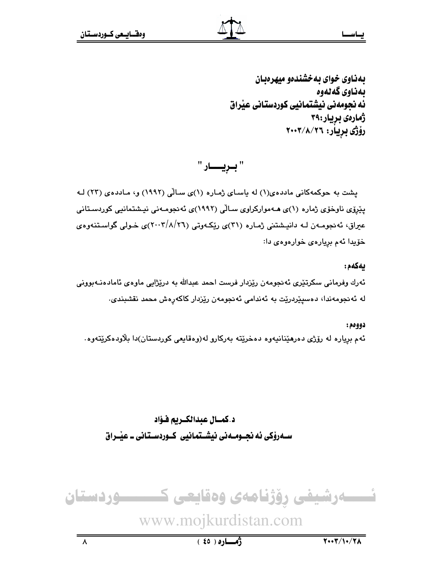بهكهم:

بهناوی خوای به خشندهو میهرهبان ىمناوى گەنەوە ئه نحومهني نيشتمانيي كوردستاني عيّراق ژمارەي بريار:٣٩ رۆژى بريار: ٢٠٠٣/٨/٢٦

" بـريـــــار "

یشت به حوکمهکانی ماددهی(۱) له یاسای ژماره (۱)ی سالی (۱۹۹۲) و، ماددهی (۲۳) له یپّرۆی ناوخۆی ژماره (۱)ی مـهموارکراوی سـالّی (۱۹۹۲)ی ئهنجومـهنی نیـشتمانیی کوردسـتانی عیراق، ئەنجومـەن لــه دانیـشتنی ژمـاره (۳۱)ی ریکــهوتی (۲۰۰۲/۸/۲٦)ی خـولی گواسـتنـهوهی خۆيدا ئەم بريارەي خوارەوەي دا:

ئەرك وفرمانى سكرتێرى ئەنجومەن رێزدار فرست احمد عبدالله بە درێژاپى ماوەي ئامادەنـﻪبوونى له ئەنجومەندا، دەسپێردرێت بە ئەندامى ئەنجومەن رێزدار كاكەرەش محمد نقشبندى.

دوومم: ئهم برياره له رۆژى دەرمێنانيەوە دەخرێتە بەركارو لە(وەقايعى كوردستان)دا بلاودەكرێتەوە.

د.كمسال عبدالكبريم فـؤاد سـهروْکي ئه نجــومــه ني نيشــتمـانيي کــوردســتـاني ــ عيْــراق



www.mojkurdistan.com

 $(30)$ ٥

 $Y \cdot Y / Y \cdot / Y$ 

 $\lambda$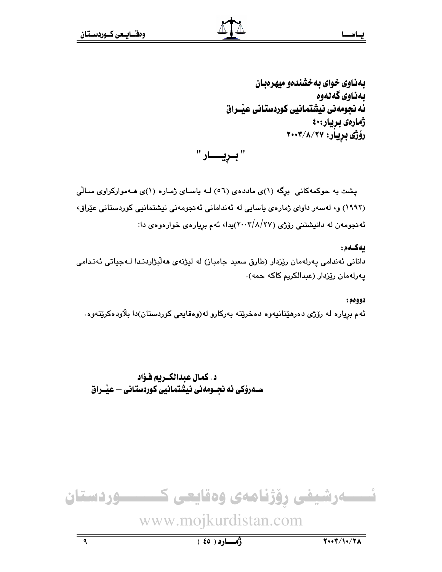بهناوی خوای به خشندهو میهرهبان بەناوي گەلەوە ئه نجومەنى نېشتمانيى كوردستانى عێـراق ژمارەي بريار:٤٠ رۆژى بريار: ٢٠٠٣/٨/٢٠٠٢

" بىريــــار "

یشت به حوکمهکانی برگه (۱)ی ماددهی (٥٦) لـه یاسـای ژمـاره (۱)ی هـهموارکراوی سـالّی (۱۹۹۲) و، لەسەر داوای ژمارەی ياسايى لە ئەندامانى ئەنجومەنى نيشتمانيى كوردستانى عيّراق، ئه نجومهن له دانیشتنی رۆژی (۲۷/۸/۲۷)پدا، ئهم بریارهی خوارهوهی دا:

ىەكـەم: دانانی ئەندامی پەرلەمان رێزدار (طارق سعید جامباز) لە لیژنەی ھەلٚبژاردنـدا لـەجیاتی ئەنـدامی يەرلەمان رێزدار (عبدالكريم كاكە حمە).

دووهم : ئهم برياره له رۆژى دەرھێنانيەوە دەخرێتە بەركارو لە(وەقايعى كوردستان)دا بلاودەكرێتەوە.

د. كمال عبدالكـريم فـؤاد سـەرۆكى ئە نحـومەنى نيشتمانيى كوردستانى – عيْـراق

نسسەرشیفی رۆژنامەی وەقايعی كــــــــوردستان www.mojkurdistan.com  $Y \cdot Y / Y \cdot / Y$  $\overline{\mathbf{a}}$  $(6)$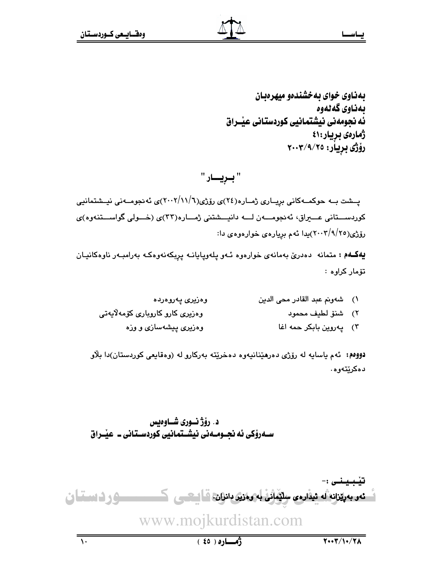بهناوی خوای به خشندهو میهر دیبان ىمناوى گەنەوە ئه نجومەنى نيشتمانيى كوردستانى عيْــراق ژمارەي بريار:٤١ رۆژى بريار: ٢٠٠٣/٩/٢٥

# " بريسار "

پــشت بــه حوکمــهکانی برِيــاری ژمــاره(٢٤)ی رۆژی(٦/١١/٦)/ی ئه نجومــهنی نیــشتمانیی کوردستانی عـــیراق، ئەنجومــــەن لــــه دانیـــشتنی ژمـــاره(۳۲)ی (خـــولی گواســـتنهوه)ی رۆژى(٢٠٠٣/٩/٢٠٠٣)يدا ئەم بريارەي خوارەوەي دا:

**يەكــەم :** متمانە دەدرێ بەمانەی خوارەوە ئـەو پلەوپايانــە پرِبكەنەوەكــە بەرامبــەر ناوەكانيــان تۆماركراوە:

| وەزيرى پەروەردە                  | ١) شهونم عبد القادر محى الدين |  |
|----------------------------------|-------------------------------|--|
| وەزیری کارو کاروباری کۆمەلاّیەتی | ٢) شنوّ لطيف محمود            |  |
| وهزیری پیشهسازی و وزه            | ٣) پەروين بابكر حمه اغا       |  |

دووم: ئهم ياسايه له رۆژى دەرهێنانيەوە دەخرێته بەركارو له (وەقايعى كوردستان)دا بلاو دەكرێتەوە.

د. رؤژ نسوري شـاوهيس ســهروٰکی ئه نجــومــهنی نیشــتمـانیی کوردســتـانی ــ عیـْــراق

تنىيىنى :-<u>ـ نه. به پيّزانه له نيداره ي سليمانی به وه زير دانزان، قـاليــــــی کـــــــــــــــو و ن اسـتــا ن</u> www.mojkurdistan.com  $(50)$  $Y \cdot Y / \sqrt{Y}$  $\overline{\mathcal{N}}$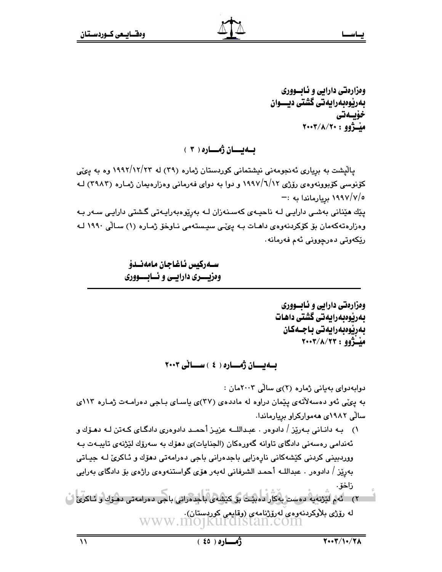وهزارهتي دارابي و ئـابــووري بەرپوەبەرايەتى گشتى ديـــوان خۆىسەتى ميْــژوو : ٢٠٠٣/٨/٢٠٠

ىسەيسسان ژەسسارە ( ۳ )

یالیشت به بریاری ئه نجومهنی نیشتمانی کوردستان ژماره (۲۹) له ۱۹۹۲/۱۲/۲۳ وه به یکی کۆنوسی کۆبوونەوەي رۆژى ۱۹۹۷/٦/۱۲ و دوا بە دواي فەرمانى وەزارەيمان ژمـارە (۳۹۸۳) لـه ۰/ ۱۹۹۷/۷/۰ بریارماندا به :—

پێك ھێنانى بەشىي دارايىي لـﻪ ناحيـﻪي كەسـنەزان لـﻪ بەرێوەبەرايـﻪتى گـشتى دارايـي سـﻪر بـﻪ وەزارەتەكەمان بۆ كۆكردنەوەي داھـات بـە يـىّـى سيـستەمى نـاوخۆ ژمـارە (۱) سـالّى ١٩٩٠ لـە رێِکەوتى دەرچوونى ئەم ڧەرمانە٠

> ســەركيس ئـاغـاجـان مـامەنــدۆ وهزیسسری دارایسی و ئسابسسووری

> > وهزارهتي دارايي و ئـابــووري بەرپوەبەرايەتى گشتى داھات يەرنوەيەرايەتى ياجىەكان مبْتَرُوو : ٢٠٠٣/٨/٢٣

ىسەيسىان ژەسسارە ( ٤ ) سىسانى ٢٠٠٣

دوابه دوای به یانی ژماره (۲)ی سالی ۲۰۰۳مان : به یکی نُهو دهسهلاٌتهی ییْمان دراوه له ماددهی (۳۷)ی یاسای بـاجی دهرامـهت ژمـاره ۱۱۳ی سالی ۱۹۸۲ی ههموارکراو بریارماندا. ۱) بـه دانـاني بـهرێز / دادوهر . عبـداللــه عزيـز أحمــد دادوهري دادگـاي كـهتن لـه دهـۆك و ئەندامى رەسەنى دادگاى تاوانە گەورەكان (الجنايات)ى دھۆك بە سەرۆك لێژنەى تايبـەت بـە ووردبيني کردنی کێشەکانی نارەزايی باجدەرانی باجی دەرامەتی دھۆك و ئـاکریٚ لــه جيـاتی بەرێز / دادوەر . عبداللـه أحمـد الشرفانى لەبەر ھۆى گواستنەوەى راژەي بۆ دادگاى بەرايى زاخۆ. لە رۆژى بلاوكرىنەوەي لەرۆژنامەي (وقايعى كورپستان).<br>WWW.MOJKUFCISTAN.COM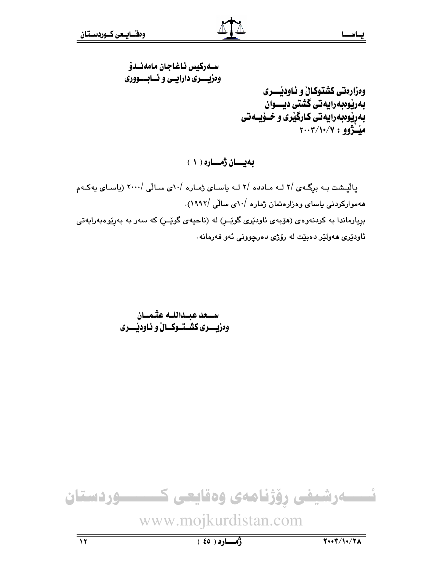# سـەركىس ئاغاجان مامەنـدۆ وهزیسسری دارایسی و نسابسسووری وهزارهتي كشتوكالْ و ئـاودێـــــرى بەرپوەبەرايەتى گشتى ديـــوان بهرێوهبهرايهتی کارگێری و خــۆیــهتی ميْــُژوو : ٢٠٠٢/١٠/٧

بەيسان ژەسارە ( ١ )

یالیشت به برگهی /۲ لـه مـادده /۲ لـه یاسـای ژمـاره /۱۰ی سـالی /۲۰۰۰ (یاسـای یهکـهم ههموارکردنی یاسای وهزارهتمان ژماره /۱۰می سالّی /۱۹۹۲). بريارماندا به کردنهوهی (هۆبەی ئاودێری گوێـر) له (ناحیهی گوێـر) که سهر به بهرێوهبەرایهتی ئاودێری هەولێر دەبێت لە رۆژی دەرچوونی ئەو فەرمانە

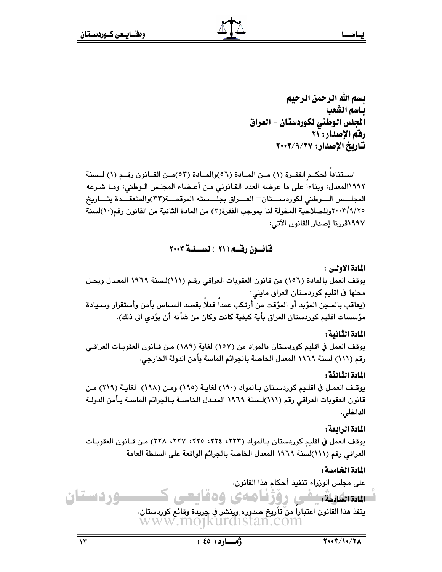بسم الله الرحمن الرحيم ياسم الشعب الجلس الوطني لكوردستان – العراق رقم الإصدار: ۲۱ تاريخ الإصدار: ٢٠٠٣/٩/٢٠٠٢

استنادا لحكم الفقرة (١) من المادة (٥٦)والمادة (٥٣)من القانون رقم (١) لـسنة ١٩٩٢المعدل، وبناءا على ما عرضه العدد القـانوني مـن أعـضاء المجلـس الـوطني، ومـا شـرعه المجلسس السوطني لكوردسستان— العسراق بجلسسته المرقمسة(٣٣)والمنعقسدة بتساريخ ٢٠٠٣/٩/٢٥ وللصلاحية المخولة لنا بموجب الفقرة(٢) من المادة الثانية من القانون رقم(١٠)لسنة ١٩٩٧قررنا إصدار القانون الآتي:

قانسون رقسم ( ۲۱ ) لسسنسة ۲۰۰۳

المادة الأولى :

يوقف العمل بالمادة (١٥٦) من قانون العقوبات العراقي رقم (١١١)لسنة ١٩٦٩ المعدل ويحل محلها في اقليم كوردستان العراق مايلي: (يعاقب بالسجن المؤبد أو المؤقت من أرتكب عمداً فعلاً بقصد المساس بأمن وأستقرار وسـيادة مؤسسات اقليم كوردستان العراق بأية كيفية كانت وكان من شأنه أن يؤدى الى ذلك).

المادة الثانية :

يوقف العمل في اقليم كوردستان بالمواد من (١٥٧) لغاية (١٨٩) مـن قــانون العقوبـات العراقــي رقم (١١١) لسنة ١٩٦٩ المعدل الخاصة بالجرائم الماسة بأمن الدولة الخارجي.

المادة الثالثة :

يوقف العمل في اقليم كوردستان بالمواد (١٩٠) لغاية (١٩٥) ومن (١٩٨) لغاية (٢١٩) من قانون العقوبات العراقي رقم (١١١)لـسنة ١٩٦٩ المعـدل الخاصـة بـالجرائم الماسـة بـأمن الدولـة الداخلي.

المادة الرابعة :

يوقف العمل في اقليم كوردستان بـالمواد (٢٢٣، ٢٢٤، ٢٢٥، ٢٢٧، ٢٢٨) مـن قـانون العقوبـات العراقي رقم (١١١)لسنة ١٩٦٩ المعدل الخاصة بالجرائم الواقعة على السلطة العامة.

المادة الخامسة :

على مجلس الوزراء تنفيذ أحكام هذا القانون.

وردستان سىسلىقىدى روزنامەي وەقايىت ينفذ هذا القانون اعتبارا من تأريخ صدوره وينشر في جريدة وقائع كوردستان. www.mojkurdistan.com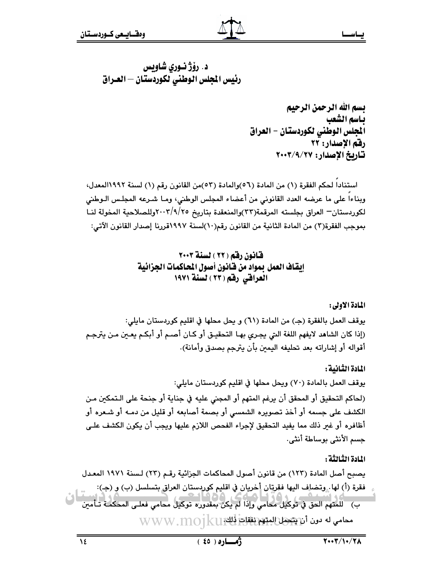بسم الله الرحمن الرحيم ياسم الشعب الجلس الوطني لكوردستان - العراق رقم الإصدار: ٢٢ تاريخ الإصدار: ٢٠٠٣/٩/٢٧

استنادا لحكم الفقرة (١) من المادة (٥٦)والمادة (٥٣)من القانون رقم (١) لسنة ١٩٩٢المعدل، وبناءاً على ما عرضه العدد القانوني من أعضاء المجلس الوطني، ومـا شـرعه المجلـس الـوطني لكوردستان— العراق بجلسته المرقمة(٣٣)والمنعقدة بتاريخ ٢٠٠٣/٩/٢٥وللصلاحية المخولة لنـا بموجب الفقرة(٣) من المادة الثانية من القانون رقم(١٠)لسنة ١٩٩٧قررنا إصدار القانون الآتي:

> قانون رقم (٢٢ ) لسنة ٢٠٠٣ إيقاف العمل بمواد من فانون أصول المحاكمات الجزائية العراقي رقم (٢٣ ) لسنة ١٩٧١

> > المادة الأولى:

يوقف العمل بالفقرة (ج) من المادة (٦١) و يحل محلها في اقليم كوردستان مايلي: (إذا كان الشاهد لايفهم اللغة التي يجري بهـا التحقيـق أو كـان أصـم أو أبكـم يعـين مـن يترجـم أقواله أو إشاراته بعد تحليفه اليمبن بأن يترجم بصدق وأمانة).

المادة الثانية :

يوقف العمل بالمادة (٧٠) ويحل محلها في اقليم كوردستان مايلي: (لحاكم التحقيق أو المحقق أن يرغم المتهم أو المجنى عليه في جناية أو جنحة على الـتمكين مـن الكشف على جسمه أو أخذ تصويره الشمسي أو بصمة أصابعه أو قليل من دمـه أو شـعره أو أظافره أو غير ذلك مما يفيد التحقيق لإجراء الفحص اللازم عليها ويجب أن يكون الكشف علـى جسم الأنثي بوساطة أنثى.

المادة الثالثة :

يصبح أصل المادة (١٢٣) من قانون أصول المحاكمات الجزائية رقـم (٢٣) لـسنة ١٩٧١ المعـدل فقرة (أ) لها . وتضاف اليها فقرتان أخريان في اقليم كوردستان العراق بتسلسل (ب) و (ج): ب) \_ للمتهم الخق في توكيل مكامي وإذا لم يكن بمقدوره توكيل محامي فعلـى المحكمـَّة تـَأمين  $\rm{WWW}.m$ 0 محامي له دون أن يتحمل المتهم نفقات ذلك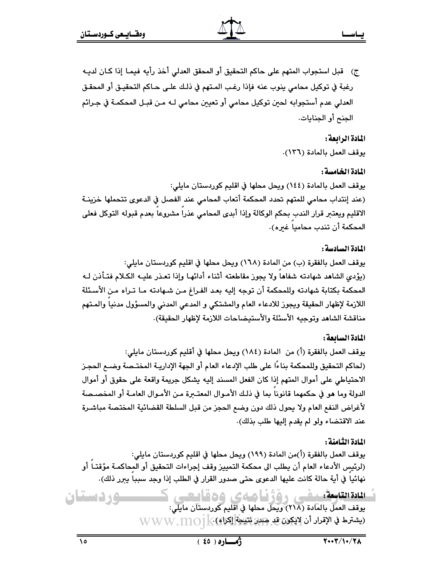ج) قبل استجواب المتهم على حاكم التحقيق أو المحقق العدلي أخذ رأيه فيمـا إذا كـان لديـه رغبة في توكيل محامي ينوب عنه فإذا رغب المـتهم في ذلـك علـي حـاكم التحقيـق أو المحقـق العدلي عدم أستجوابه لحين توكيل محامي أو تعيين محامي لـه مـن قبـل المحكمـة في جـرائم الجنح أو الجنايات.

### المادة الرابعة :

يوقف العمل بالمادة (١٣٦).

### المادة الخامسة :

يوقف العمل بالمادة (١٤٤) ويحل محلها في اقليم كوردستان مايلي: (عند إنتداب محامى للمتهم تحدد المحكمة أتعاب المحامى عند الفصل في الدعوى تتحملها خزينة الاقليم ويعتبر قرار الندب بحكم الوكالة وإذا أبدى المحامى عذرا مشروعا بعدم قبوله التوكل فعلى المحكمة أن تندب محاميا غيره).

### المادة السادسة :

يوقف العمل بالفقرة (ب) من المادة (١٦٨) ويحل محلها في اقليم كوردستان مايلي: (يؤدى الشاهد شهادته شفاها ولا يجوز مقاطعته أثناء أدائها وإذا تعـذر عليـه الكـلام فتـأذن لـه المحكمة بكتابة شهادته وللمحكمة أن توجه إليه بعد الفراغ من شهادته مـا تـراه مـن الأسـئلة اللازمة لإظهار الحقيقة ويجوز للادعاء العام والمشتكي و المدعى المدنى والمسؤول مدنيا والمـتهم مناقشة الشاهد وتوجيه الأسئلة والأستيضاحات اللازمة لإظهار الحقيقة).

#### المادة السائعة :

يوقف العمل بالفقرة (أ) من المادة (١٨٤) ويحل محلها في أقليم كوردستان مايلي: (لحاكم التحقيق وللمحكمة بناءًا على طلب الإدعاء العام أو الجهة الإداريــة المختــصة وضــع الـحجـز الاحتياطي على أموال المتهم إذا كان الفعل المسند إليه يشكل جريمة واقعة على حقوق أو أموال الدولة وما هو في حكمهما قانونا بما في ذلك الأمـوال المعتـــرة مـن الأمـوال العامــة أو المخصـصة لأغراض النفع العام ولا يحول ذلك دون وضع الحجز من قبل السلطة القضائية المختصة مباشـرة عند الاقتضاء ولو لم يقدم إليها طلب بذلك).

### المادة الثامنة :

يوقف العمل بالفقرة (أ)من المادة (١٩٩) ويحل محلها في اقليم كوردستان مايلي: (لرئيس الأدعاء العام أن يطلب الى محكمة التمييز وقف إجراءات التحقيق أو المحاكمـة مؤقتــاً أو نهائيا في أية حالة كانت عليها الدعوى حتى صدور القرار في الطلب إذا وجد سببا يبرر ذلك).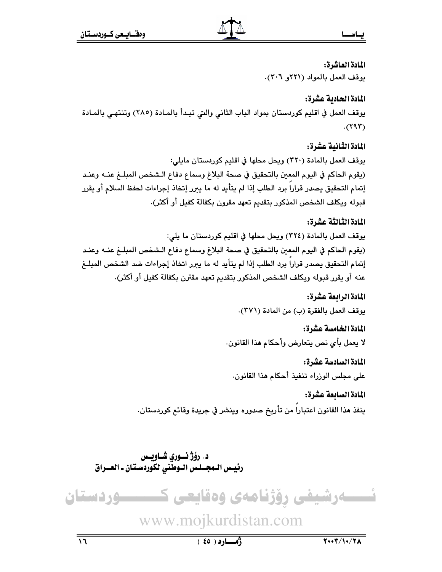يساس

المادة العاشرة: يوقف العمل بالمواد (٢٢١و ٣٠٦).

# المادة الحادية عشرة:

يوقف العمل في اقليم كوردستان بمواد الباب الثاني والتي تبدأ بالمـادة (٢٨٥) وتنتهـى بالمـادة  $(595)$ 

المادة الثانية عشرة: يوقف العمل بالمادة (٣٢٠) ويحل محلها في اقليم كوردستان مايلي: (يقوم الحاكم في اليوم المعين بالتحقيق في صحة البلاغ وسماع دفاع الـشخص المبلــغ عنــه وعنـد إتمام التحقيق يصدر قراراً برد الطلب إذا لم يتأيد له ما يبرر إتخاذ إجراءات لحفظ السلام أو يقرر قبوله ويكلف الشخص المذكور بتقديم تعهد مقرون بكفالة كفيل أو أكثر).

# المادة الثَّالثَّة عشْ ة:

يوقف العمل بالمادة (٣٢٤) ويحل محلها في اقليم كوردستان ما يلي: (يقوم الحاكم في اليوم المعين بالتحقيق في صحة البلاغ وسماع دفاع الـشخص المبلــغ عنــه وعنـد إتمام التحقيق يصدر قراراً برد الطلب إذا لم يتأيد له ما يبرر اتخاذ إجراءات ضد الشخص المبلــغ عنه أو يقرر قبوله ويكلف الشخص المذكور بتقديم تعهد مقترن بكفالة كفيل أو أكثر).

# المادة الرابعة عشرة:

يوقف العمل بالفقرة (ب) من المادة (٣٧١).

المادة الخامسة عشرة:

لا يعمل بأى نص يتعارض وأحكام هذا القانون.

المادة السادسة عشرة: على مجلس الوزراء تنفيذ أحكام هذا القانون.

المادة السابعة عشرة: ينفذ هذا القانون اعتبارا من تأريخ صدوره وينشر في جريدة وقائع كوردستان.

د. رؤژ نسوري شـاويس رئيس الـمجــلـس الـوطّنى لكوردسـتان ـ العــراق



# www.mojkurdistan.com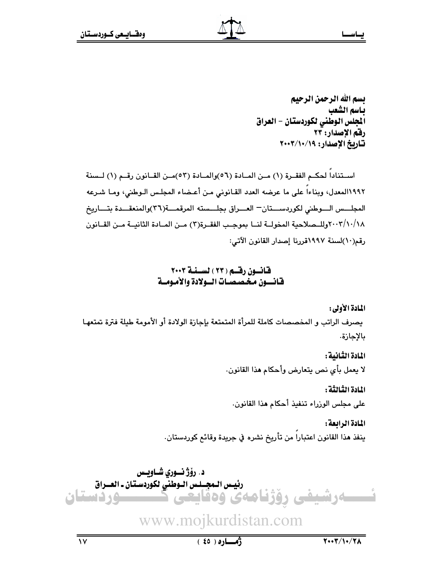تسم الله الرحمن الرحيم ياسم الشعب المجلس الوطني لكوردستان - العراق رفم الإصدار: ٢٣ تاريخ الإصدار: ١٩/١٠/١٠٧

استناداً لحكـم الفقـرة (١) مـن المـادة (٥٦)والمـادة (٥٣)مـن القـانون رقـم (١) لـسنة ١٩٩٢المعدل، ويناءاً على ما عرضه العدد القـانوني مـن أعـضاء المجلـس الـوطني، ومـا شـرعه المجلسس السوطنى لكوردسستان العسراق بجلسسته المرقمسة(٣٦)والمنعقسدة بتساريخ ٢٠٠٢/١٠/١٨وللــصلاحية المخولــة لنــا بموجـب الفقــرة(٣) مــن المــادة الثانيــة مــن القــانون رقم(١٠)لسنة ١٩٩٧قررنا إصدار القانون الآتي:

### قانسون رقسم ( ٢٣ ) لسسنة ٢٠٠٣ فانسون مخصصات السولادة والأمومسة

المادة الأولى:

يصرف الراتب و المخصصات كاملة للمرأة المتمتعة بإجازة الولادة أو الأمومة طيلة فترة تمتعهـا بالإجازة.

المادة الثانية :

لا يعمل بأي نص يتعارض وأحكام هذا القانون.

المادة الثالثة :

على مجلس الوزراء تنفيذ أحكام هذا القانون.

المادة الرابعة : ينفذ هذا القانون اعتبارا من تأريخ نشره في جريدة وقائع كوردستان.

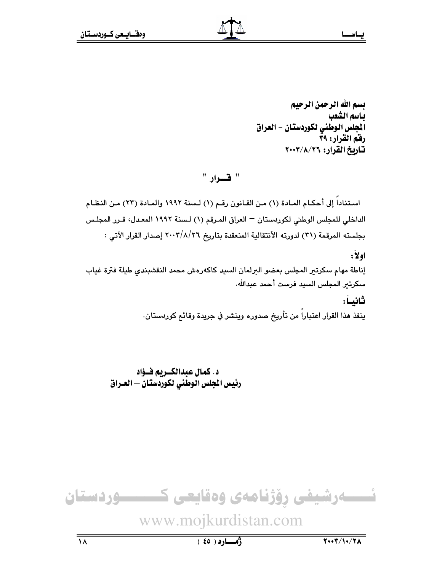بسم الله الرحمن الرحيم بـاسم الشعب الجلس الوطني لكوردستان - العراق رفق القرار: ٣٩ تاريخ القرار: ٢٠٠٣/٨/٢٦

" قسوار "

استنادا إلى أحكـام المـادة (١) مـن القـانون رقـم (١) لـسنة ١٩٩٢ والمـادة (٢٣) مـن النظـام الداخلي للمجلس الوطني لكوردستان — العراق المـرقم (١) لـسنة ١٩٩٢ المعـدل، قـرر المجلـس بجلسته المرقمة (٣١) لدورته الأنتقالية المنعقدة بتاريخ ٢٠٠٢/٨/٢٦ إصدار القرار الآتي :

 $: \mathbf{Y}$ ولا : إناطة مهام سكرتير المجلس بعضو البرلمان السيد كاكهرهش محمد النقشبندى طيلة فترة غياب سكرتير المجلس السيد فرست أحمد عبدالله. ثانيـاً:

ينفذ هذا القرار اعتباراً من تأريخ صدوره وينشر في جريدة وقائم كوردستان.

د. كمال عبدالكــريم فــؤاد رئيس المجلس الوطنى لكوردستان — العـراق

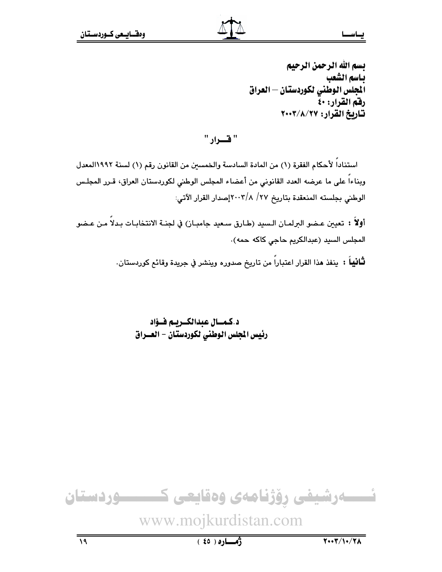" فسوار "

استناداً لأحكام الفقرة (١) من المادة السادسة والخمسين من القانون رقم (١) لسنة ١٩٩٢المعدل وبناءاً على ما عرضه العدد القانونى من أعضاء المجلس الوطنى لكوردستان العراق، قـرر المجلـس الوطني بجلسته المنعقدة بتاريخ ٢٧/ ٢٠٠٢|مسدار القرار الآتي:

أولاً : تعيين عـضو البرلمـان الـسيد (طـارق سـعيد جامبـاز) في لجنـة الانتخابـات بـدلاً مـن عـضو المجلس السيد (عبدالكريم حاجي كاكه حمه).

**ثـانيـاً : ينفذ هذ**ا القرار اعتباراً من تاريخ صدوره وينشر في جريدة وقائع كوردستان.

د.كمسال عبدالكبريم فؤاد رئيس المجلس الوطني لكوردستان - العسراق